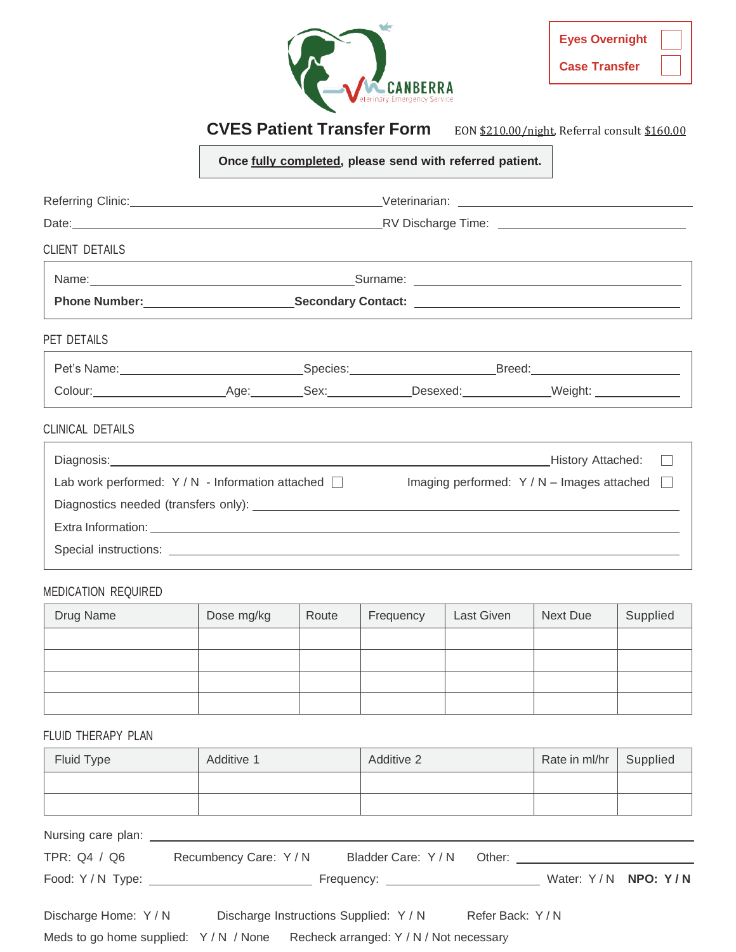

| <b>Eyes Overnight</b> |  |
|-----------------------|--|
| <b>Case Transfer</b>  |  |

# **CVES Patient Transfer Form** EON \$210.00/night, Referral consult \$160.00

**Once fully completed, please send with referred patient.**

| <b>CLIENT DETAILS</b>                                   |  |  |  |                                                                                                                                                                                                                                |
|---------------------------------------------------------|--|--|--|--------------------------------------------------------------------------------------------------------------------------------------------------------------------------------------------------------------------------------|
|                                                         |  |  |  |                                                                                                                                                                                                                                |
|                                                         |  |  |  |                                                                                                                                                                                                                                |
| PET DETAILS                                             |  |  |  |                                                                                                                                                                                                                                |
|                                                         |  |  |  |                                                                                                                                                                                                                                |
|                                                         |  |  |  |                                                                                                                                                                                                                                |
| <b>CLINICAL DETAILS</b>                                 |  |  |  |                                                                                                                                                                                                                                |
|                                                         |  |  |  | Diagnosis: Nistory Attached: Diagnosis: Nistory Attached: Diagnosis:                                                                                                                                                           |
| Lab work performed: $Y/N$ - Information attached $\Box$ |  |  |  | Imaging performed: $Y/N$ – Images attached $\Box$                                                                                                                                                                              |
|                                                         |  |  |  | Diagnostics needed (transfers only): Notified and the control of the control of the control of the control of the control of the control of the control of the control of the control of the control of the control of the con |
|                                                         |  |  |  |                                                                                                                                                                                                                                |
|                                                         |  |  |  |                                                                                                                                                                                                                                |
|                                                         |  |  |  |                                                                                                                                                                                                                                |

#### MEDICATION REQUIRED

| Drug Name | Dose mg/kg | Route | Frequency | Last Given | Next Due | Supplied |
|-----------|------------|-------|-----------|------------|----------|----------|
|           |            |       |           |            |          |          |
|           |            |       |           |            |          |          |
|           |            |       |           |            |          |          |
|           |            |       |           |            |          |          |

FLUID THERAPY PLAN

| <b>Fluid Type</b>                 | Additive 1                                                                 | Additive 2               |                 | Rate in ml/hr | Supplied |
|-----------------------------------|----------------------------------------------------------------------------|--------------------------|-----------------|---------------|----------|
|                                   |                                                                            |                          |                 |               |          |
|                                   |                                                                            |                          |                 |               |          |
|                                   |                                                                            |                          |                 |               |          |
| TPR: Q4 / Q6 Recumbency Care: Y/N |                                                                            | Bladder Care: Y/N Other: |                 |               |          |
|                                   |                                                                            |                          |                 |               |          |
| Discharge Home: Y / N             | Discharge Instructions Supplied: Y / N                                     |                          | Refer Back: Y/N |               |          |
|                                   | Meds to go home supplied: Y/N / None Recheck arranged: Y/N / Not necessary |                          |                 |               |          |